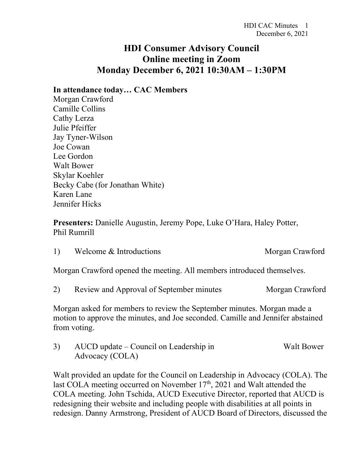## **HDI Consumer Advisory Council Online meeting in Zoom Monday December 6, 2021 10:30AM – 1:30PM**

## **In attendance today… CAC Members**

Morgan Crawford Camille Collins Cathy Lerza Julie Pfeiffer Jay Tyner-Wilson Joe Cowan Lee Gordon Walt Bower Skylar Koehler Becky Cabe (for Jonathan White) Karen Lane Jennifer Hicks

**Presenters:** Danielle Augustin, Jeremy Pope, Luke O'Hara, Haley Potter, Phil Rumrill

| Welcome & Introductions | Morgan Crawford |
|-------------------------|-----------------|
|                         |                 |

Morgan Crawford opened the meeting. All members introduced themselves.

2) Review and Approval of September minutes Morgan Crawford

Morgan asked for members to review the September minutes. Morgan made a motion to approve the minutes, and Joe seconded. Camille and Jennifer abstained from voting.

3) AUCD update – Council on Leadership in Walt Bower Advocacy (COLA)

Walt provided an update for the Council on Leadership in Advocacy (COLA). The last COLA meeting occurred on November  $17<sup>th</sup>$ , 2021 and Walt attended the COLA meeting. John Tschida, AUCD Executive Director, reported that AUCD is redesigning their website and including people with disabilities at all points in redesign. Danny Armstrong, President of AUCD Board of Directors, discussed the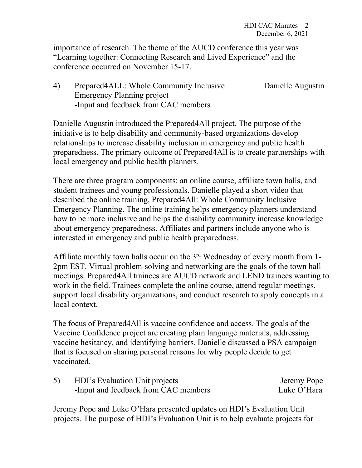importance of research. The theme of the AUCD conference this year was "Learning together: Connecting Research and Lived Experience" and the conference occurred on November 15-17.

4) Prepared4ALL: Whole Community Inclusive Danielle Augustin Emergency Planning project -Input and feedback from CAC members

Danielle Augustin introduced the Prepared4All project. The purpose of the initiative is to help disability and community-based organizations develop relationships to increase disability inclusion in emergency and public health preparedness. The primary outcome of Prepared4All is to create partnerships with local emergency and public health planners.

There are three program components: an online course, affiliate town halls, and student trainees and young professionals. Danielle played a short video that described the online training, Prepared4All: Whole Community Inclusive Emergency Planning. The online training helps emergency planners understand how to be more inclusive and helps the disability community increase knowledge about emergency preparedness. Affiliates and partners include anyone who is interested in emergency and public health preparedness.

Affiliate monthly town halls occur on the  $3<sup>rd</sup>$  Wednesday of every month from 1-2pm EST. Virtual problem-solving and networking are the goals of the town hall meetings. Prepared4All trainees are AUCD network and LEND trainees wanting to work in the field. Trainees complete the online course, attend regular meetings, support local disability organizations, and conduct research to apply concepts in a local context.

The focus of Prepared4All is vaccine confidence and access. The goals of the Vaccine Confidence project are creating plain language materials, addressing vaccine hesitancy, and identifying barriers. Danielle discussed a PSA campaign that is focused on sharing personal reasons for why people decide to get vaccinated.

| HDI's Evaluation Unit projects       | Jeremy Pope |
|--------------------------------------|-------------|
| -Input and feedback from CAC members | Luke O'Hara |

Jeremy Pope and Luke O'Hara presented updates on HDI's Evaluation Unit projects. The purpose of HDI's Evaluation Unit is to help evaluate projects for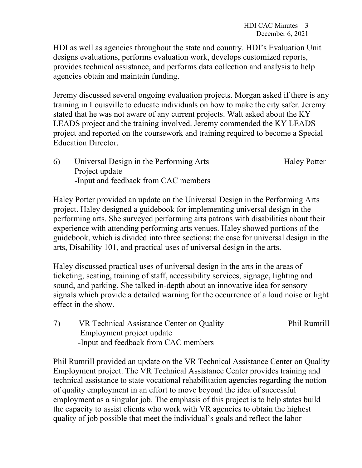HDI as well as agencies throughout the state and country. HDI's Evaluation Unit designs evaluations, performs evaluation work, develops customized reports, provides technical assistance, and performs data collection and analysis to help agencies obtain and maintain funding.

Jeremy discussed several ongoing evaluation projects. Morgan asked if there is any training in Louisville to educate individuals on how to make the city safer. Jeremy stated that he was not aware of any current projects. Walt asked about the KY LEADS project and the training involved. Jeremy commended the KY LEADS project and reported on the coursework and training required to become a Special Education Director.

6) Universal Design in the Performing Arts Haley Potter Project update -Input and feedback from CAC members

Haley Potter provided an update on the Universal Design in the Performing Arts project. Haley designed a guidebook for implementing universal design in the performing arts. She surveyed performing arts patrons with disabilities about their experience with attending performing arts venues. Haley showed portions of the guidebook, which is divided into three sections: the case for universal design in the arts, Disability 101, and practical uses of universal design in the arts.

Haley discussed practical uses of universal design in the arts in the areas of ticketing, seating, training of staff, accessibility services, signage, lighting and sound, and parking. She talked in-depth about an innovative idea for sensory signals which provide a detailed warning for the occurrence of a loud noise or light effect in the show.

7) VR Technical Assistance Center on Quality Phil Rumrill Employment project update -Input and feedback from CAC members

Phil Rumrill provided an update on the VR Technical Assistance Center on Quality Employment project. The VR Technical Assistance Center provides training and technical assistance to state vocational rehabilitation agencies regarding the notion of quality employment in an effort to move beyond the idea of successful employment as a singular job. The emphasis of this project is to help states build the capacity to assist clients who work with VR agencies to obtain the highest quality of job possible that meet the individual's goals and reflect the labor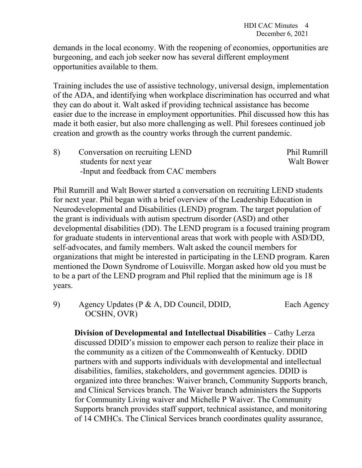demands in the local economy. With the reopening of economies, opportunities are burgeoning, and each job seeker now has several different employment opportunities available to them.

Training includes the use of assistive technology, universal design, implementation of the ADA, and identifying when workplace discrimination has occurred and what they can do about it. Walt asked if providing technical assistance has become easier due to the increase in employment opportunities. Phil discussed how this has made it both easier, but also more challenging as well. Phil foresees continued job creation and growth as the country works through the current pandemic.

8) Conversation on recruiting LEND Phil Rumrill students for next year Walt Bower -Input and feedback from CAC members

Phil Rumrill and Walt Bower started a conversation on recruiting LEND students for next year. Phil began with a brief overview of the Leadership Education in Neurodevelopmental and Disabilities (LEND) program. The target population of the grant is individuals with autism spectrum disorder (ASD) and other developmental disabilities (DD). The LEND program is a focused training program for graduate students in interventional areas that work with people with ASD/DD, self-advocates, and family members. Walt asked the council members for organizations that might be interested in participating in the LEND program. Karen mentioned the Down Syndrome of Louisville. Morgan asked how old you must be to be a part of the LEND program and Phil replied that the minimum age is 18 years.

9) Agency Updates (P & A, DD Council, DDID, Each Agency OCSHN, OVR)

**Division of Developmental and Intellectual Disabilities** – Cathy Lerza discussed DDID's mission to empower each person to realize their place in the community as a citizen of the Commonwealth of Kentucky. DDID partners with and supports individuals with developmental and intellectual disabilities, families, stakeholders, and government agencies. DDID is organized into three branches: Waiver branch, Community Supports branch, and Clinical Services branch. The Waiver branch administers the Supports for Community Living waiver and Michelle P Waiver. The Community Supports branch provides staff support, technical assistance, and monitoring of 14 CMHCs. The Clinical Services branch coordinates quality assurance,